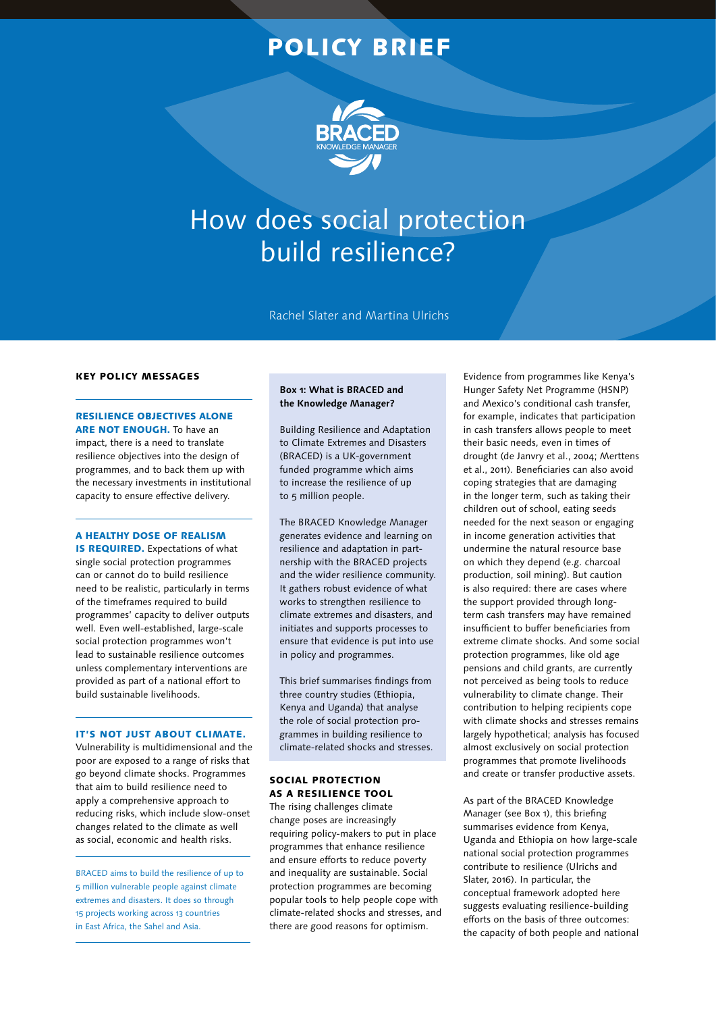## POLICY BRIEF



# How does social protection build resilience?

Rachel Slater and Martina Ulrichs

#### KEY POLICY MESSAGES

#### RESILIENCE OBJECTIVES ALONE ARE NOT ENOUGH. To have an

impact, there is a need to translate resilience objectives into the design of programmes, and to back them up with the necessary investments in institutional capacity to ensure effective delivery.

#### A HEALTHY DOSE OF REALISM

IS REQUIRED. Expectations of what single social protection programmes can or cannot do to build resilience need to be realistic, particularly in terms of the timeframes required to build programmes' capacity to deliver outputs well. Even well-established, large-scale social protection programmes won't lead to sustainable resilience outcomes unless complementary interventions are provided as part of a national effort to build sustainable livelihoods.

#### IT'S NOT JUST ABOUT CLIMATE.

Vulnerability is multidimensional and the poor are exposed to a range of risks that go beyond climate shocks. Programmes that aim to build resilience need to apply a comprehensive approach to reducing risks, which include slow-onset changes related to the climate as well as social, economic and health risks.

BRACED aims to build the resilience of up to 5 million vulnerable people against climate extremes and disasters. It does so through 15 projects working across 13 countries in East Africa, the Sahel and Asia.

#### **Box 1: What is BRACED and the Knowledge Manager?**

Building Resilience and Adaptation to Climate Extremes and Disasters (BRACED) is a UK-government funded programme which aims to increase the resilience of up to 5 million people.

The BRACED Knowledge Manager generates evidence and learning on resilience and adaptation in partnership with the BRACED projects and the wider resilience community. It gathers robust evidence of what works to strengthen resilience to climate extremes and disasters, and initiates and supports processes to ensure that evidence is put into use in policy and programmes.

This brief summarises findings from three country studies (Ethiopia, Kenya and Uganda) that analyse the role of social protection programmes in building resilience to climate-related shocks and stresses.

#### SOCIAL PROTECTION AS A RESILIENCE TOOL

The rising challenges climate change poses are increasingly requiring policy-makers to put in place programmes that enhance resilience and ensure efforts to reduce poverty and inequality are sustainable. Social protection programmes are becoming popular tools to help people cope with climate-related shocks and stresses, and there are good reasons for optimism.

Evidence from programmes like Kenya's Hunger Safety Net Programme (HSNP) and Mexico's conditional cash transfer, for example, indicates that participation in cash transfers allows people to meet their basic needs, even in times of drought (de Janvry et al., 2004; Merttens et al., 2011). Beneficiaries can also avoid coping strategies that are damaging in the longer term, such as taking their children out of school, eating seeds needed for the next season or engaging in income generation activities that undermine the natural resource base on which they depend (e.g. charcoal production, soil mining). But caution is also required: there are cases where the support provided through longterm cash transfers may have remained insufficient to buffer beneficiaries from extreme climate shocks. And some social protection programmes, like old age pensions and child grants, are currently not perceived as being tools to reduce vulnerability to climate change. Their contribution to helping recipients cope with climate shocks and stresses remains largely hypothetical; analysis has focused almost exclusively on social protection programmes that promote livelihoods and create or transfer productive assets.

As part of the BRACED Knowledge Manager (see Box 1), this briefing summarises evidence from Kenya, Uganda and Ethiopia on how large-scale national social protection programmes contribute to resilience (Ulrichs and Slater, 2016). In particular, the conceptual framework adopted here suggests evaluating resilience-building efforts on the basis of three outcomes: the capacity of both people and national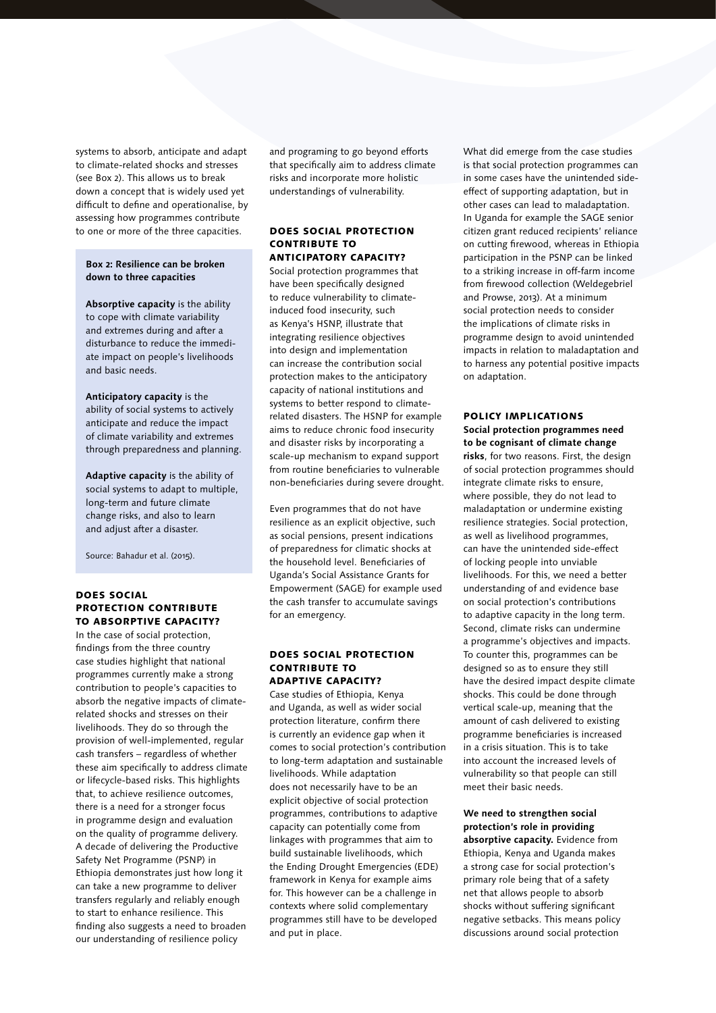systems to absorb, anticipate and adapt to climate-related shocks and stresses (see Box 2). This allows us to break down a concept that is widely used yet difficult to define and operationalise, by assessing how programmes contribute to one or more of the three capacities.

#### **Box 2: Resilience can be broken down to three capacities**

**Absorptive capacity** is the ability to cope with climate variability and extremes during and after a disturbance to reduce the immediate impact on people's livelihoods and basic needs.

**Anticipatory capacity** is the ability of social systems to actively anticipate and reduce the impact of climate variability and extremes through preparedness and planning.

**Adaptive capacity** is the ability of social systems to adapt to multiple, long-term and future climate change risks, and also to learn and adjust after a disaster.

Source: Bahadur et al. (2015).

#### DOES SOCIAL PROTECTION CONTRIBUTE TO ABSORPTIVE CAPACITY?

In the case of social protection, findings from the three country case studies highlight that national programmes currently make a strong contribution to people's capacities to absorb the negative impacts of climaterelated shocks and stresses on their livelihoods. They do so through the provision of well-implemented, regular cash transfers – regardless of whether these aim specifically to address climate or lifecycle-based risks. This highlights that, to achieve resilience outcomes, there is a need for a stronger focus in programme design and evaluation on the quality of programme delivery. A decade of delivering the Productive Safety Net Programme (PSNP) in Ethiopia demonstrates just how long it can take a new programme to deliver transfers regularly and reliably enough to start to enhance resilience. This finding also suggests a need to broaden our understanding of resilience policy

and programing to go beyond efforts that specifically aim to address climate risks and incorporate more holistic understandings of vulnerability.

#### DOES SOCIAL PROTECTION CONTRIBUTE TO ANTICIPATORY CAPACITY?

Social protection programmes that have been specifically designed to reduce vulnerability to climateinduced food insecurity, such as Kenya's HSNP, illustrate that integrating resilience objectives into design and implementation can increase the contribution social protection makes to the anticipatory capacity of national institutions and systems to better respond to climaterelated disasters. The HSNP for example aims to reduce chronic food insecurity and disaster risks by incorporating a scale-up mechanism to expand support from routine beneficiaries to vulnerable non-beneficiaries during severe drought.

Even programmes that do not have resilience as an explicit objective, such as social pensions, present indications of preparedness for climatic shocks at the household level. Beneficiaries of Uganda's Social Assistance Grants for Empowerment (SAGE) for example used the cash transfer to accumulate savings for an emergency.

#### DOES SOCIAL PROTECTION CONTRIBUTE TO ADAPTIVE CAPACITY?

Case studies of Ethiopia, Kenya and Uganda, as well as wider social protection literature, confirm there is currently an evidence gap when it comes to social protection's contribution to long-term adaptation and sustainable livelihoods. While adaptation does not necessarily have to be an explicit objective of social protection programmes, contributions to adaptive capacity can potentially come from linkages with programmes that aim to build sustainable livelihoods, which the Ending Drought Emergencies (EDE) framework in Kenya for example aims for. This however can be a challenge in contexts where solid complementary programmes still have to be developed and put in place.

What did emerge from the case studies is that social protection programmes can in some cases have the unintended sideeffect of supporting adaptation, but in other cases can lead to maladaptation. In Uganda for example the SAGE senior citizen grant reduced recipients' reliance on cutting firewood, whereas in Ethiopia participation in the PSNP can be linked to a striking increase in off-farm income from firewood collection (Weldegebriel and Prowse, 2013). At a minimum social protection needs to consider the implications of climate risks in programme design to avoid unintended impacts in relation to maladaptation and to harness any potential positive impacts on adaptation.

#### POLICY IMPLICATIONS

**Social protection programmes need to be cognisant of climate change risks**, for two reasons. First, the design of social protection programmes should integrate climate risks to ensure, where possible, they do not lead to maladaptation or undermine existing resilience strategies. Social protection, as well as livelihood programmes, can have the unintended side-effect of locking people into unviable livelihoods. For this, we need a better understanding of and evidence base on social protection's contributions to adaptive capacity in the long term. Second, climate risks can undermine a programme's objectives and impacts. To counter this, programmes can be designed so as to ensure they still have the desired impact despite climate shocks. This could be done through vertical scale-up, meaning that the amount of cash delivered to existing programme beneficiaries is increased in a crisis situation. This is to take into account the increased levels of vulnerability so that people can still meet their basic needs.

### **We need to strengthen social protection's role in providing absorptive capacity.** Evidence from

Ethiopia, Kenya and Uganda makes a strong case for social protection's primary role being that of a safety net that allows people to absorb shocks without suffering significant negative setbacks. This means policy discussions around social protection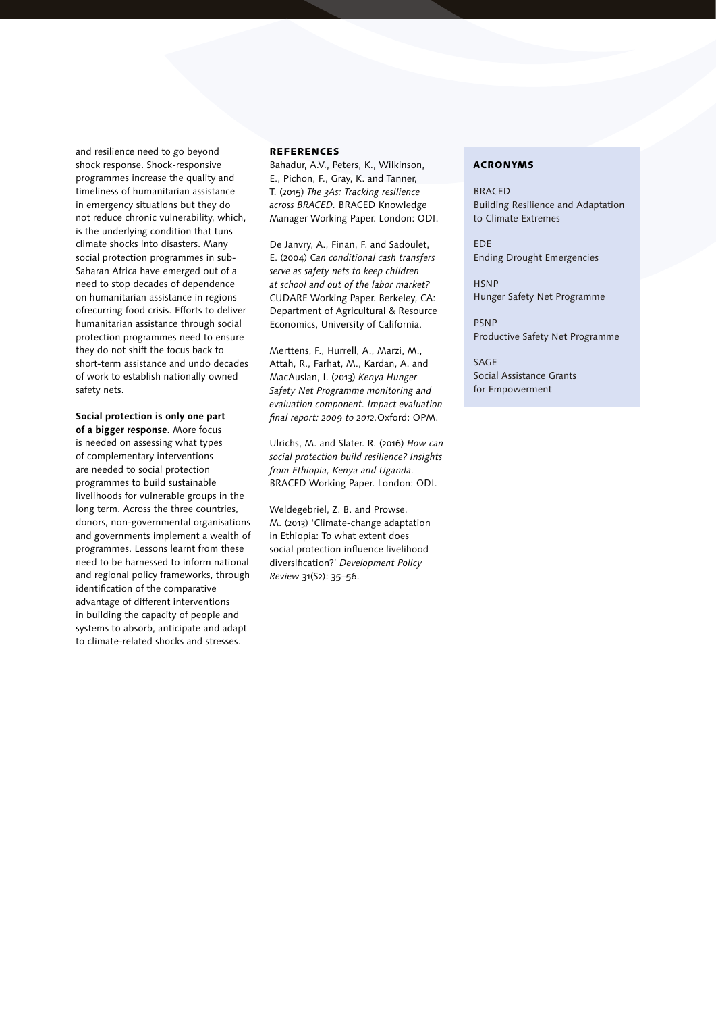and resilience need to go beyond shock response. Shock-responsive programmes increase the quality and timeliness of humanitarian assistance in emergency situations but they do not reduce chronic vulnerability, which, is the underlying condition that tuns climate shocks into disasters. Many social protection programmes in sub-Saharan Africa have emerged out of a need to stop decades of dependence on humanitarian assistance in regions ofrecurring food crisis. Efforts to deliver humanitarian assistance through social protection programmes need to ensure they do not shift the focus back to short-term assistance and undo decades of work to establish nationally owned safety nets.

**Social protection is only one part of a bigger response.** More focus is needed on assessing what types of complementary interventions are needed to social protection programmes to build sustainable livelihoods for vulnerable groups in the long term. Across the three countries, donors, non-governmental organisations and governments implement a wealth of programmes. Lessons learnt from these need to be harnessed to inform national and regional policy frameworks, through identification of the comparative advantage of different interventions in building the capacity of people and systems to absorb, anticipate and adapt to climate-related shocks and stresses.

#### **REFERENCES**

Bahadur, A.V., Peters, K., Wilkinson, E., Pichon, F., Gray, K. and Tanner, T. (2015) *The 3As: Tracking resilience across BRACED.* BRACED Knowledge Manager Working Paper. London: ODI.

De Janvry, A., Finan, F. and Sadoulet, E. (2004) C*an conditional cash transfers serve as safety nets to keep children at school and out of the labor market?* CUDARE Working Paper. Berkeley, CA: Department of Agricultural & Resource Economics, University of California.

Merttens, F., Hurrell, A., Marzi, M., Attah, R., Farhat, M., Kardan, A. and MacAuslan, I. (2013) *Kenya Hunger Safety Net Programme monitoring and evaluation component. Impact evaluation final report: 2009 to 2012.*Oxford: OPM.

Ulrichs, M. and Slater. R. (2016) *How can social protection build resilience? Insights from Ethiopia, Kenya and Uganda.* BRACED Working Paper. London: ODI.

Weldegebriel, Z. B. and Prowse, M. (2013) 'Climate-change adaptation in Ethiopia: To what extent does social protection influence livelihood diversification?' *Development Policy Review* 31(S2): 35–56.

#### ACRONYMS

**BRACED** Building Resilience and Adaptation to Climate Extremes

EDE Ending Drought Emergencies

**HSNP** Hunger Safety Net Programme

PSNP Productive Safety Net Programme

SAGE Social Assistance Grants for Empowerment